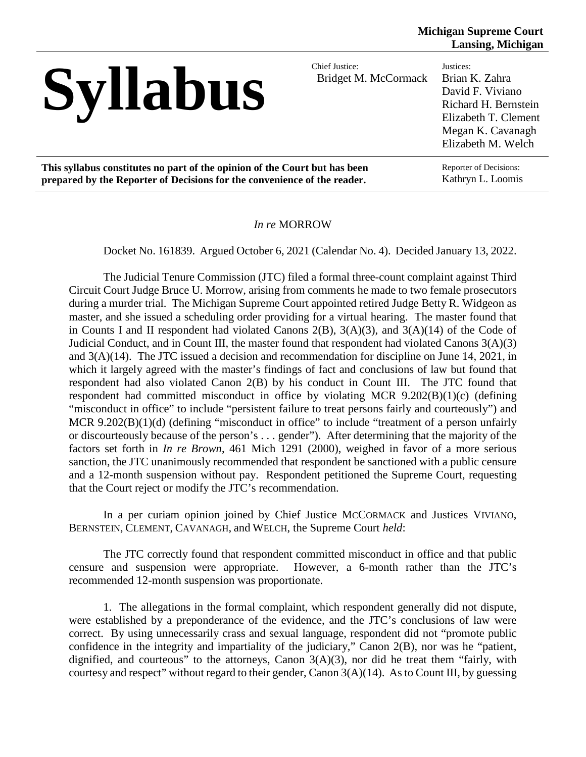# Syllabus

Bridget M. McCormack

Justices: Brian K. Zahra David F. Viviano Richard H. Bernstein Elizabeth T. Clement Megan K. Cavanagh Elizabeth M. Welch

**This syllabus constitutes no part of the opinion of the Court but has been prepared by the Reporter of Decisions for the convenience of the reader.**

Reporter of Decisions: Kathryn L. Loomis

### *In re* MORROW

Docket No. 161839. Argued October 6, 2021 (Calendar No. 4). Decided January 13, 2022.

The Judicial Tenure Commission (JTC) filed a formal three-count complaint against Third Circuit Court Judge Bruce U. Morrow, arising from comments he made to two female prosecutors during a murder trial. The Michigan Supreme Court appointed retired Judge Betty R. Widgeon as master, and she issued a scheduling order providing for a virtual hearing. The master found that in Counts I and II respondent had violated Canons 2(B), 3(A)(3), and 3(A)(14) of the Code of Judicial Conduct, and in Count III, the master found that respondent had violated Canons 3(A)(3) and 3(A)(14). The JTC issued a decision and recommendation for discipline on June 14, 2021, in which it largely agreed with the master's findings of fact and conclusions of law but found that respondent had also violated Canon 2(B) by his conduct in Count III. The JTC found that respondent had committed misconduct in office by violating MCR 9.202(B)(1)(c) (defining "misconduct in office" to include "persistent failure to treat persons fairly and courteously") and MCR 9.202(B)(1)(d) (defining "misconduct in office" to include "treatment of a person unfairly or discourteously because of the person's . . . gender"). After determining that the majority of the factors set forth in *In re Brown*, 461 Mich 1291 (2000), weighed in favor of a more serious sanction, the JTC unanimously recommended that respondent be sanctioned with a public censure and a 12-month suspension without pay. Respondent petitioned the Supreme Court, requesting that the Court reject or modify the JTC's recommendation.

In a per curiam opinion joined by Chief Justice MCCORMACK and Justices VIVIANO, BERNSTEIN, CLEMENT, CAVANAGH, and WELCH, the Supreme Court *held*:

The JTC correctly found that respondent committed misconduct in office and that public censure and suspension were appropriate. However, a 6-month rather than the JTC's recommended 12-month suspension was proportionate.

1. The allegations in the formal complaint, which respondent generally did not dispute, were established by a preponderance of the evidence, and the JTC's conclusions of law were correct. By using unnecessarily crass and sexual language, respondent did not "promote public confidence in the integrity and impartiality of the judiciary," Canon 2(B), nor was he "patient, dignified, and courteous" to the attorneys, Canon  $3(A)(3)$ , nor did he treat them "fairly, with courtesy and respect" without regard to their gender, Canon 3(A)(14). As to Count III, by guessing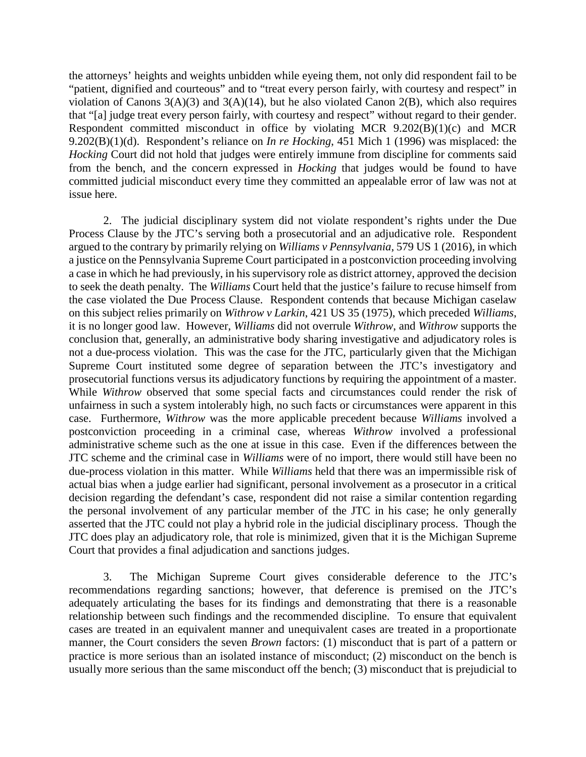the attorneys' heights and weights unbidden while eyeing them, not only did respondent fail to be "patient, dignified and courteous" and to "treat every person fairly, with courtesy and respect" in violation of Canons  $3(A)(3)$  and  $3(A)(14)$ , but he also violated Canon  $2(B)$ , which also requires that "[a] judge treat every person fairly, with courtesy and respect" without regard to their gender. Respondent committed misconduct in office by violating MCR 9.202(B)(1)(c) and MCR 9.202(B)(1)(d). Respondent's reliance on *In re Hocking*, 451 Mich 1 (1996) was misplaced: the *Hocking* Court did not hold that judges were entirely immune from discipline for comments said from the bench, and the concern expressed in *Hocking* that judges would be found to have committed judicial misconduct every time they committed an appealable error of law was not at issue here.

2. The judicial disciplinary system did not violate respondent's rights under the Due Process Clause by the JTC's serving both a prosecutorial and an adjudicative role. Respondent argued to the contrary by primarily relying on *Williams v Pennsylvania*, 579 US 1 (2016), in which a justice on the Pennsylvania Supreme Court participated in a postconviction proceeding involving a case in which he had previously, in his supervisory role as district attorney, approved the decision to seek the death penalty. The *Williams* Court held that the justice's failure to recuse himself from the case violated the Due Process Clause. Respondent contends that because Michigan caselaw on this subject relies primarily on *Withrow v Larkin*, 421 US 35 (1975), which preceded *Williams*, it is no longer good law. However, *Williams* did not overrule *Withrow*, and *Withrow* supports the conclusion that, generally, an administrative body sharing investigative and adjudicatory roles is not a due-process violation. This was the case for the JTC, particularly given that the Michigan Supreme Court instituted some degree of separation between the JTC's investigatory and prosecutorial functions versus its adjudicatory functions by requiring the appointment of a master. While *Withrow* observed that some special facts and circumstances could render the risk of unfairness in such a system intolerably high, no such facts or circumstances were apparent in this case. Furthermore, *Withrow* was the more applicable precedent because *Williams* involved a postconviction proceeding in a criminal case, whereas *Withrow* involved a professional administrative scheme such as the one at issue in this case. Even if the differences between the JTC scheme and the criminal case in *Williams* were of no import, there would still have been no due-process violation in this matter. While *Williams* held that there was an impermissible risk of actual bias when a judge earlier had significant, personal involvement as a prosecutor in a critical decision regarding the defendant's case, respondent did not raise a similar contention regarding the personal involvement of any particular member of the JTC in his case; he only generally asserted that the JTC could not play a hybrid role in the judicial disciplinary process. Though the JTC does play an adjudicatory role, that role is minimized, given that it is the Michigan Supreme Court that provides a final adjudication and sanctions judges.

3. The Michigan Supreme Court gives considerable deference to the JTC's recommendations regarding sanctions; however, that deference is premised on the JTC's adequately articulating the bases for its findings and demonstrating that there is a reasonable relationship between such findings and the recommended discipline. To ensure that equivalent cases are treated in an equivalent manner and unequivalent cases are treated in a proportionate manner, the Court considers the seven *Brown* factors: (1) misconduct that is part of a pattern or practice is more serious than an isolated instance of misconduct; (2) misconduct on the bench is usually more serious than the same misconduct off the bench; (3) misconduct that is prejudicial to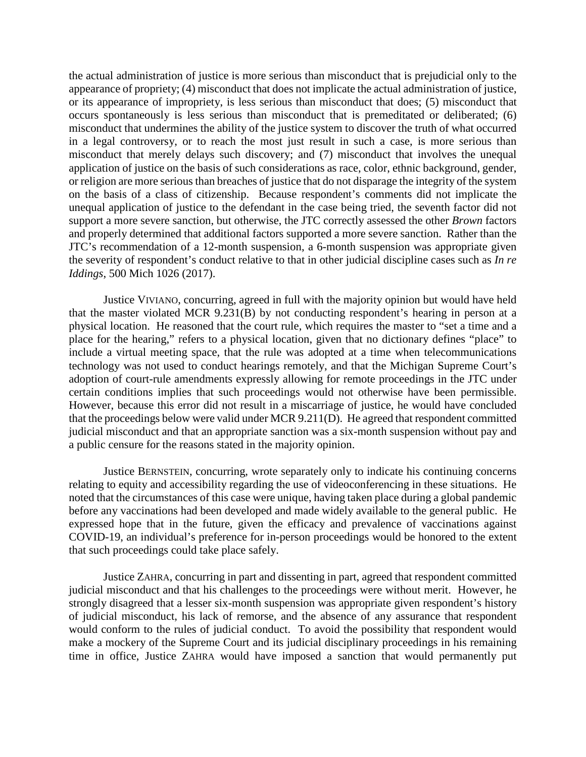the actual administration of justice is more serious than misconduct that is prejudicial only to the appearance of propriety; (4) misconduct that does not implicate the actual administration of justice, or its appearance of impropriety, is less serious than misconduct that does; (5) misconduct that occurs spontaneously is less serious than misconduct that is premeditated or deliberated; (6) misconduct that undermines the ability of the justice system to discover the truth of what occurred in a legal controversy, or to reach the most just result in such a case, is more serious than misconduct that merely delays such discovery; and (7) misconduct that involves the unequal application of justice on the basis of such considerations as race, color, ethnic background, gender, or religion are more serious than breaches of justice that do not disparage the integrity of the system on the basis of a class of citizenship. Because respondent's comments did not implicate the unequal application of justice to the defendant in the case being tried, the seventh factor did not support a more severe sanction, but otherwise, the JTC correctly assessed the other *Brown* factors and properly determined that additional factors supported a more severe sanction. Rather than the JTC's recommendation of a 12-month suspension, a 6-month suspension was appropriate given the severity of respondent's conduct relative to that in other judicial discipline cases such as *In re Iddings*, 500 Mich 1026 (2017).

Justice VIVIANO, concurring, agreed in full with the majority opinion but would have held that the master violated MCR 9.231(B) by not conducting respondent's hearing in person at a physical location. He reasoned that the court rule, which requires the master to "set a time and a place for the hearing," refers to a physical location, given that no dictionary defines "place" to include a virtual meeting space, that the rule was adopted at a time when telecommunications technology was not used to conduct hearings remotely, and that the Michigan Supreme Court's adoption of court-rule amendments expressly allowing for remote proceedings in the JTC under certain conditions implies that such proceedings would not otherwise have been permissible. However, because this error did not result in a miscarriage of justice, he would have concluded that the proceedings below were valid under MCR 9.211(D). He agreed that respondent committed judicial misconduct and that an appropriate sanction was a six-month suspension without pay and a public censure for the reasons stated in the majority opinion.

Justice BERNSTEIN, concurring, wrote separately only to indicate his continuing concerns relating to equity and accessibility regarding the use of videoconferencing in these situations. He noted that the circumstances of this case were unique, having taken place during a global pandemic before any vaccinations had been developed and made widely available to the general public. He expressed hope that in the future, given the efficacy and prevalence of vaccinations against COVID-19, an individual's preference for in-person proceedings would be honored to the extent that such proceedings could take place safely.

Justice ZAHRA, concurring in part and dissenting in part, agreed that respondent committed judicial misconduct and that his challenges to the proceedings were without merit. However, he strongly disagreed that a lesser six-month suspension was appropriate given respondent's history of judicial misconduct, his lack of remorse, and the absence of any assurance that respondent would conform to the rules of judicial conduct. To avoid the possibility that respondent would make a mockery of the Supreme Court and its judicial disciplinary proceedings in his remaining time in office, Justice ZAHRA would have imposed a sanction that would permanently put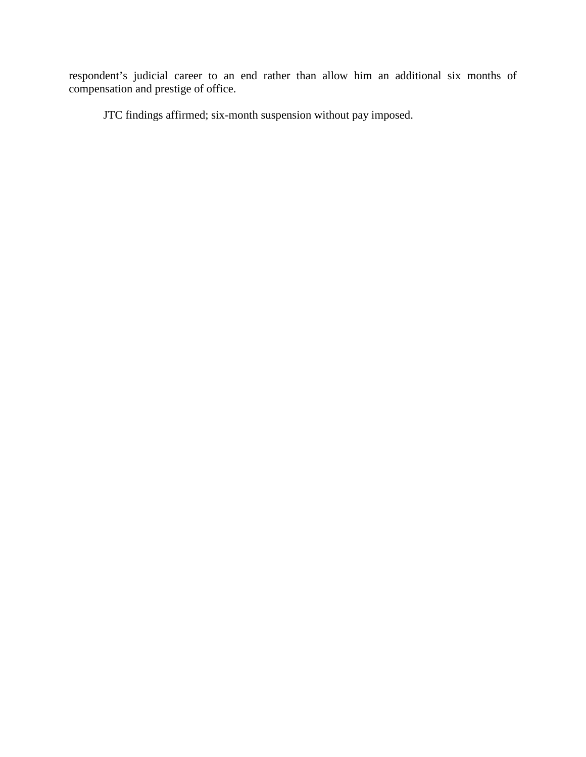respondent's judicial career to an end rather than allow him an additional six months of compensation and prestige of office.

JTC findings affirmed; six-month suspension without pay imposed.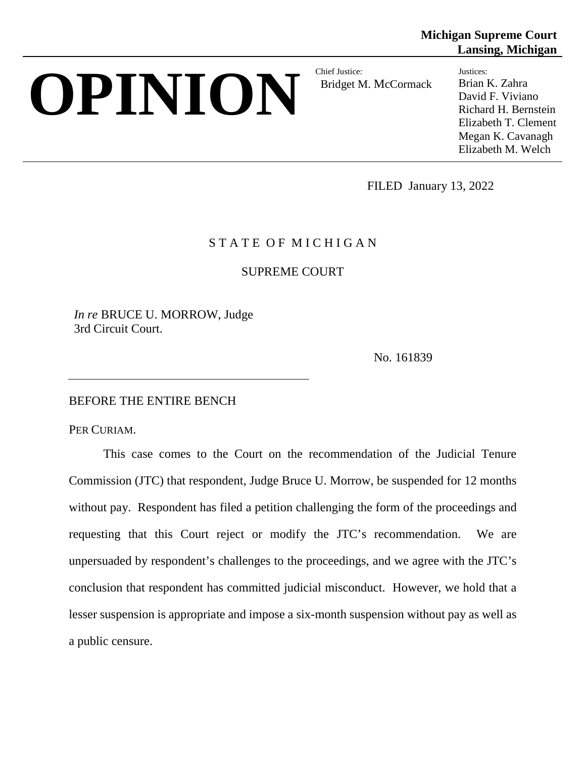# **OPINION** Bridget M

Bridget M. McCormack

**Michigan Supreme Court Lansing, Michigan**

> Justices: Brian K. Zahra David F. Viviano Richard H. Bernstein Elizabeth T. Clement Megan K. Cavanagh Elizabeth M. Welch

FILED January 13, 2022

# STATE OF MICHIGAN

SUPREME COURT

*In re* BRUCE U. MORROW, Judge 3rd Circuit Court.

No. 161839

## BEFORE THE ENTIRE BENCH

PER CURIAM.

This case comes to the Court on the recommendation of the Judicial Tenure Commission (JTC) that respondent, Judge Bruce U. Morrow, be suspended for 12 months without pay. Respondent has filed a petition challenging the form of the proceedings and requesting that this Court reject or modify the JTC's recommendation. We are unpersuaded by respondent's challenges to the proceedings, and we agree with the JTC's conclusion that respondent has committed judicial misconduct. However, we hold that a lesser suspension is appropriate and impose a six-month suspension without pay as well as a public censure.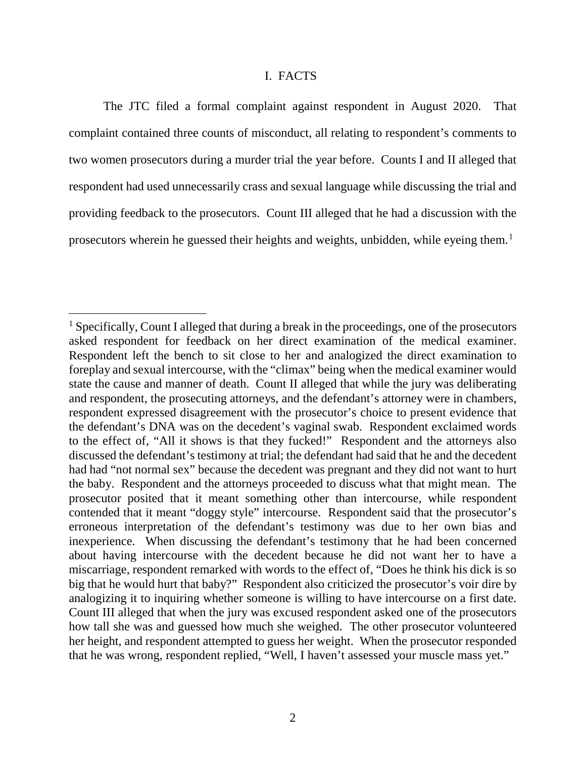#### I. FACTS

The JTC filed a formal complaint against respondent in August 2020. That complaint contained three counts of misconduct, all relating to respondent's comments to two women prosecutors during a murder trial the year before. Counts I and II alleged that respondent had used unnecessarily crass and sexual language while discussing the trial and providing feedback to the prosecutors. Count III alleged that he had a discussion with the prosecutors wherein he guessed their heights and weights, unbidden, while eyeing them.<sup>[1](#page-5-0)</sup>

<span id="page-5-0"></span><sup>&</sup>lt;sup>1</sup> Specifically, Count I alleged that during a break in the proceedings, one of the prosecutors asked respondent for feedback on her direct examination of the medical examiner. Respondent left the bench to sit close to her and analogized the direct examination to foreplay and sexual intercourse, with the "climax" being when the medical examiner would state the cause and manner of death. Count II alleged that while the jury was deliberating and respondent, the prosecuting attorneys, and the defendant's attorney were in chambers, respondent expressed disagreement with the prosecutor's choice to present evidence that the defendant's DNA was on the decedent's vaginal swab. Respondent exclaimed words to the effect of, "All it shows is that they fucked!" Respondent and the attorneys also discussed the defendant's testimony at trial; the defendant had said that he and the decedent had had "not normal sex" because the decedent was pregnant and they did not want to hurt the baby. Respondent and the attorneys proceeded to discuss what that might mean. The prosecutor posited that it meant something other than intercourse, while respondent contended that it meant "doggy style" intercourse. Respondent said that the prosecutor's erroneous interpretation of the defendant's testimony was due to her own bias and inexperience. When discussing the defendant's testimony that he had been concerned about having intercourse with the decedent because he did not want her to have a miscarriage, respondent remarked with words to the effect of, "Does he think his dick is so big that he would hurt that baby?" Respondent also criticized the prosecutor's voir dire by analogizing it to inquiring whether someone is willing to have intercourse on a first date. Count III alleged that when the jury was excused respondent asked one of the prosecutors how tall she was and guessed how much she weighed. The other prosecutor volunteered her height, and respondent attempted to guess her weight. When the prosecutor responded that he was wrong, respondent replied, "Well, I haven't assessed your muscle mass yet."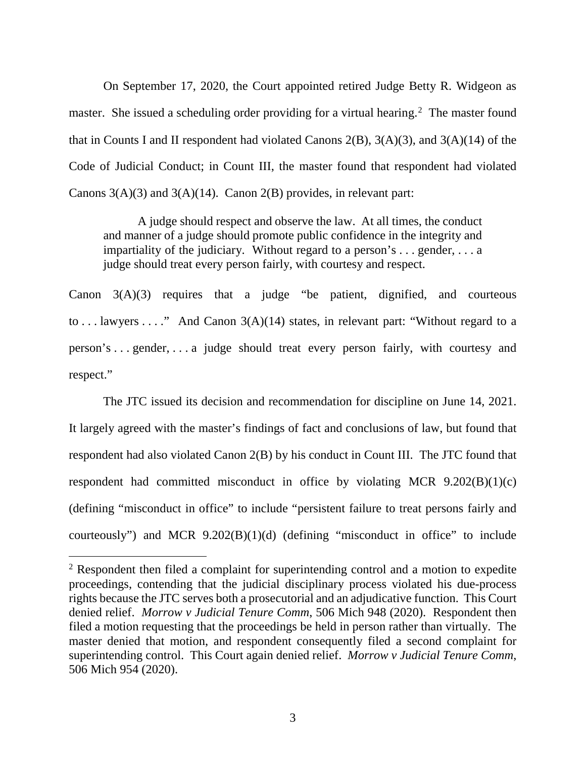On September 17, 2020, the Court appointed retired Judge Betty R. Widgeon as master. She issued a scheduling order providing for a virtual hearing.<sup>[2](#page-6-0)</sup> The master found that in Counts I and II respondent had violated Canons  $2(B)$ ,  $3(A)(3)$ , and  $3(A)(14)$  of the Code of Judicial Conduct; in Count III, the master found that respondent had violated Canons  $3(A)(3)$  and  $3(A)(14)$ . Canon  $2(B)$  provides, in relevant part:

A judge should respect and observe the law. At all times, the conduct and manner of a judge should promote public confidence in the integrity and impartiality of the judiciary. Without regard to a person's . . . gender, . . . a judge should treat every person fairly, with courtesy and respect.

Canon 3(A)(3) requires that a judge "be patient, dignified, and courteous to ... lawyers ...." And Canon  $3(A)(14)$  states, in relevant part: "Without regard to a person's . . . gender, . . . a judge should treat every person fairly, with courtesy and respect."

The JTC issued its decision and recommendation for discipline on June 14, 2021. It largely agreed with the master's findings of fact and conclusions of law, but found that respondent had also violated Canon 2(B) by his conduct in Count III. The JTC found that respondent had committed misconduct in office by violating MCR 9.202(B)(1)(c) (defining "misconduct in office" to include "persistent failure to treat persons fairly and courteously") and MCR  $9.202(B)(1)(d)$  (defining "misconduct in office" to include

<span id="page-6-0"></span> $2$  Respondent then filed a complaint for superintending control and a motion to expedite proceedings, contending that the judicial disciplinary process violated his due-process rights because the JTC serves both a prosecutorial and an adjudicative function. This Court denied relief. *Morrow v Judicial Tenure Comm*, 506 Mich 948 (2020). Respondent then filed a motion requesting that the proceedings be held in person rather than virtually. The master denied that motion, and respondent consequently filed a second complaint for superintending control. This Court again denied relief. *Morrow v Judicial Tenure Comm*, 506 Mich 954 (2020).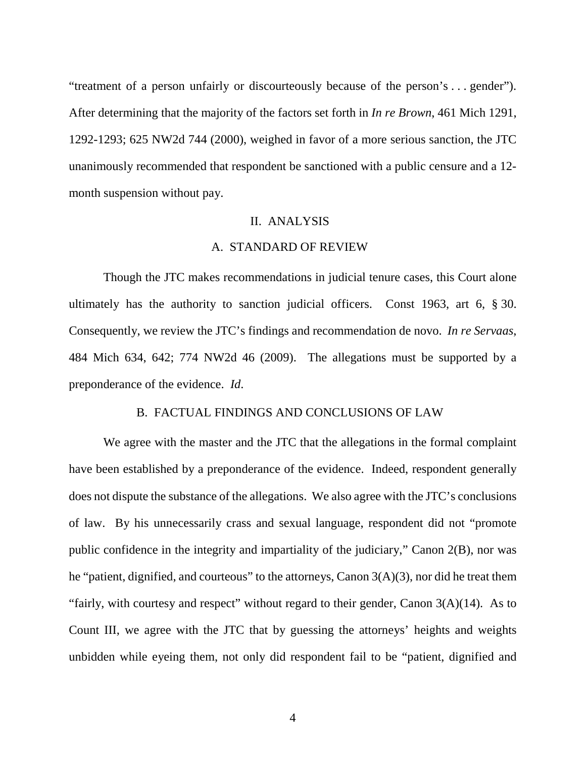"treatment of a person unfairly or discourteously because of the person's . . . gender"). After determining that the majority of the factors set forth in *In re Brown*, 461 Mich 1291, 1292-1293; 625 NW2d 744 (2000), weighed in favor of a more serious sanction, the JTC unanimously recommended that respondent be sanctioned with a public censure and a 12 month suspension without pay.

# II. ANALYSIS

#### A. STANDARD OF REVIEW

Though the JTC makes recommendations in judicial tenure cases, this Court alone ultimately has the authority to sanction judicial officers. Const 1963, art 6, § 30. Consequently, we review the JTC's findings and recommendation de novo. *In re Servaas*, 484 Mich 634, 642; 774 NW2d 46 (2009). The allegations must be supported by a preponderance of the evidence. *Id*.

#### B. FACTUAL FINDINGS AND CONCLUSIONS OF LAW

We agree with the master and the JTC that the allegations in the formal complaint have been established by a preponderance of the evidence. Indeed, respondent generally does not dispute the substance of the allegations. We also agree with the JTC's conclusions of law. By his unnecessarily crass and sexual language, respondent did not "promote public confidence in the integrity and impartiality of the judiciary," Canon 2(B), nor was he "patient, dignified, and courteous" to the attorneys, Canon 3(A)(3), nor did he treat them "fairly, with courtesy and respect" without regard to their gender, Canon  $3(A)(14)$ . As to Count III, we agree with the JTC that by guessing the attorneys' heights and weights unbidden while eyeing them, not only did respondent fail to be "patient, dignified and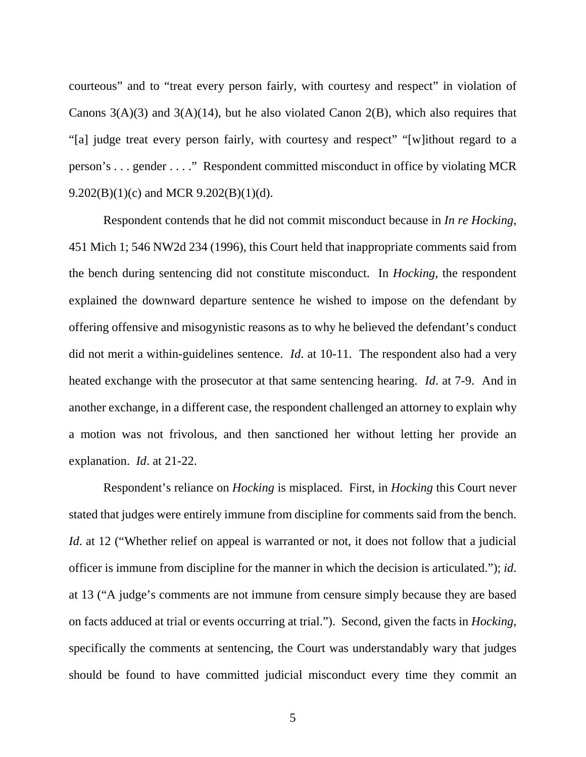courteous" and to "treat every person fairly, with courtesy and respect" in violation of Canons  $3(A)(3)$  and  $3(A)(14)$ , but he also violated Canon  $2(B)$ , which also requires that "[a] judge treat every person fairly, with courtesy and respect" "[w]ithout regard to a person's . . . gender . . . ." Respondent committed misconduct in office by violating MCR 9.202 $(B)(1)(c)$  and MCR 9.202 $(B)(1)(d)$ .

Respondent contends that he did not commit misconduct because in *In re Hocking*, 451 Mich 1; 546 NW2d 234 (1996), this Court held that inappropriate comments said from the bench during sentencing did not constitute misconduct. In *Hocking*, the respondent explained the downward departure sentence he wished to impose on the defendant by offering offensive and misogynistic reasons as to why he believed the defendant's conduct did not merit a within-guidelines sentence. *Id*. at 10-11. The respondent also had a very heated exchange with the prosecutor at that same sentencing hearing. *Id*. at 7-9. And in another exchange, in a different case, the respondent challenged an attorney to explain why a motion was not frivolous, and then sanctioned her without letting her provide an explanation. *Id*. at 21-22.

Respondent's reliance on *Hocking* is misplaced. First, in *Hocking* this Court never stated that judges were entirely immune from discipline for comments said from the bench. *Id.* at 12 ("Whether relief on appeal is warranted or not, it does not follow that a judicial officer is immune from discipline for the manner in which the decision is articulated."); *id*. at 13 ("A judge's comments are not immune from censure simply because they are based on facts adduced at trial or events occurring at trial."). Second, given the facts in *Hocking*, specifically the comments at sentencing, the Court was understandably wary that judges should be found to have committed judicial misconduct every time they commit an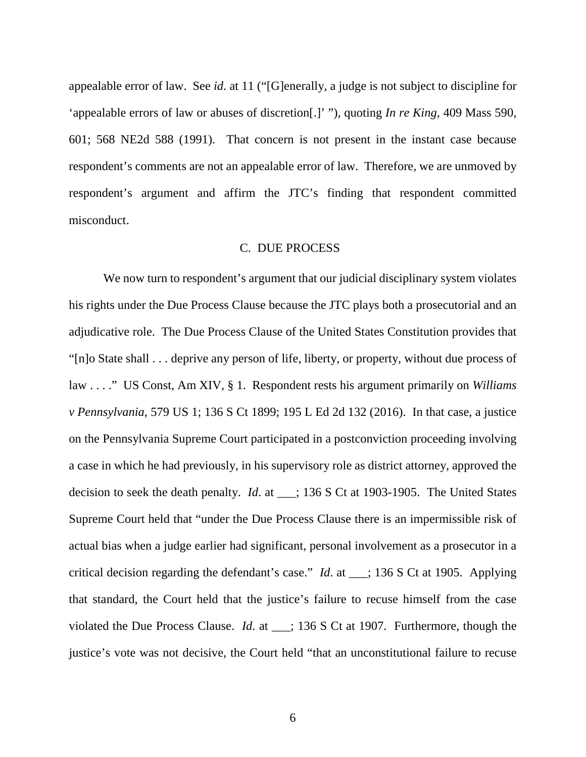appealable error of law. See *id*. at 11 ("[G]enerally, a judge is not subject to discipline for 'appealable errors of law or abuses of discretion[.]' "), quoting *In re King*, 409 Mass 590, 601; 568 NE2d 588 (1991). That concern is not present in the instant case because respondent's comments are not an appealable error of law. Therefore, we are unmoved by respondent's argument and affirm the JTC's finding that respondent committed misconduct.

#### C. DUE PROCESS

We now turn to respondent's argument that our judicial disciplinary system violates his rights under the Due Process Clause because the JTC plays both a prosecutorial and an adjudicative role. The Due Process Clause of the United States Constitution provides that "[n]o State shall . . . deprive any person of life, liberty, or property, without due process of law . . . ." US Const, Am XIV, § 1. Respondent rests his argument primarily on *Williams v Pennsylvania*, 579 US 1; 136 S Ct 1899; 195 L Ed 2d 132 (2016). In that case, a justice on the Pennsylvania Supreme Court participated in a postconviction proceeding involving a case in which he had previously, in his supervisory role as district attorney, approved the decision to seek the death penalty. *Id*. at \_\_\_; 136 S Ct at 1903-1905. The United States Supreme Court held that "under the Due Process Clause there is an impermissible risk of actual bias when a judge earlier had significant, personal involvement as a prosecutor in a critical decision regarding the defendant's case." *Id*. at \_\_\_; 136 S Ct at 1905. Applying that standard, the Court held that the justice's failure to recuse himself from the case violated the Due Process Clause. *Id*. at \_\_\_; 136 S Ct at 1907. Furthermore, though the justice's vote was not decisive, the Court held "that an unconstitutional failure to recuse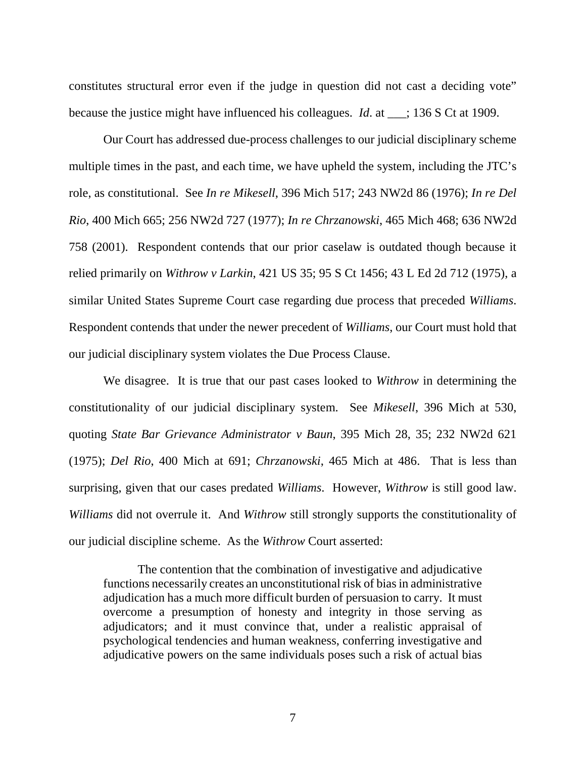constitutes structural error even if the judge in question did not cast a deciding vote" because the justice might have influenced his colleagues. *Id*. at \_\_\_; 136 S Ct at 1909.

Our Court has addressed due-process challenges to our judicial disciplinary scheme multiple times in the past, and each time, we have upheld the system, including the JTC's role, as constitutional. See *In re Mikesell*, 396 Mich 517; 243 NW2d 86 (1976); *In re Del Rio*, 400 Mich 665; 256 NW2d 727 (1977); *In re Chrzanowski*, 465 Mich 468; 636 NW2d 758 (2001). Respondent contends that our prior caselaw is outdated though because it relied primarily on *Withrow v Larkin*, 421 US 35; 95 S Ct 1456; 43 L Ed 2d 712 (1975), a similar United States Supreme Court case regarding due process that preceded *Williams*. Respondent contends that under the newer precedent of *Williams*, our Court must hold that our judicial disciplinary system violates the Due Process Clause.

We disagree. It is true that our past cases looked to *Withrow* in determining the constitutionality of our judicial disciplinary system. See *Mikesell*, 396 Mich at 530, quoting *State Bar Grievance Administrator v Baun*, 395 Mich 28, 35; 232 NW2d 621 (1975); *Del Rio*, 400 Mich at 691; *Chrzanowski*, 465 Mich at 486. That is less than surprising, given that our cases predated *Williams*. However, *Withrow* is still good law. *Williams* did not overrule it. And *Withrow* still strongly supports the constitutionality of our judicial discipline scheme. As the *Withrow* Court asserted:

The contention that the combination of investigative and adjudicative functions necessarily creates an unconstitutional risk of bias in administrative adjudication has a much more difficult burden of persuasion to carry. It must overcome a presumption of honesty and integrity in those serving as adjudicators; and it must convince that, under a realistic appraisal of psychological tendencies and human weakness, conferring investigative and adjudicative powers on the same individuals poses such a risk of actual bias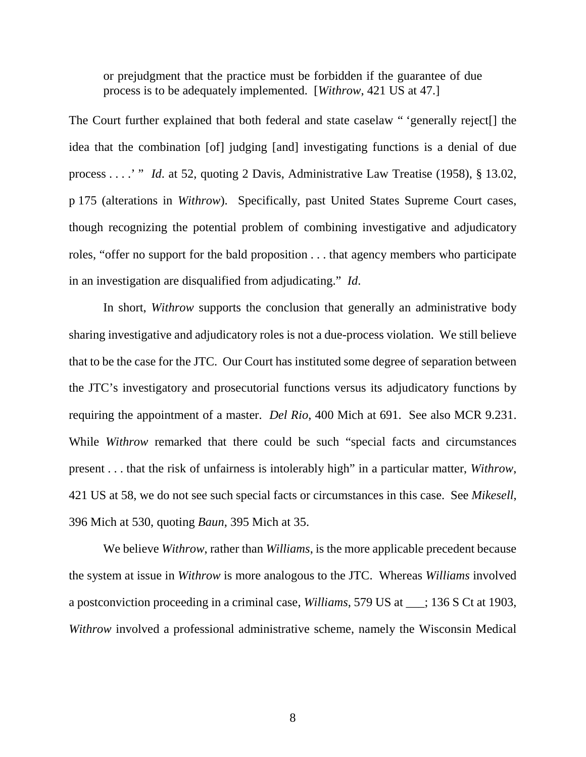or prejudgment that the practice must be forbidden if the guarantee of due process is to be adequately implemented. [*Withrow*, 421 US at 47.]

The Court further explained that both federal and state caselaw " 'generally reject[] the idea that the combination [of] judging [and] investigating functions is a denial of due process . . . .' " *Id*. at 52, quoting 2 Davis, Administrative Law Treatise (1958), § 13.02, p 175 (alterations in *Withrow*). Specifically, past United States Supreme Court cases, though recognizing the potential problem of combining investigative and adjudicatory roles, "offer no support for the bald proposition . . . that agency members who participate in an investigation are disqualified from adjudicating." *Id*.

In short, *Withrow* supports the conclusion that generally an administrative body sharing investigative and adjudicatory roles is not a due-process violation. We still believe that to be the case for the JTC. Our Court has instituted some degree of separation between the JTC's investigatory and prosecutorial functions versus its adjudicatory functions by requiring the appointment of a master. *Del Rio*, 400 Mich at 691. See also MCR 9.231. While *Withrow* remarked that there could be such "special facts and circumstances present . . . that the risk of unfairness is intolerably high" in a particular matter, *Withrow*, 421 US at 58, we do not see such special facts or circumstances in this case. See *Mikesell*, 396 Mich at 530, quoting *Baun*, 395 Mich at 35.

We believe *Withrow*, rather than *Williams*, is the more applicable precedent because the system at issue in *Withrow* is more analogous to the JTC. Whereas *Williams* involved a postconviction proceeding in a criminal case, *Williams*, 579 US at \_\_\_; 136 S Ct at 1903, *Withrow* involved a professional administrative scheme, namely the Wisconsin Medical

8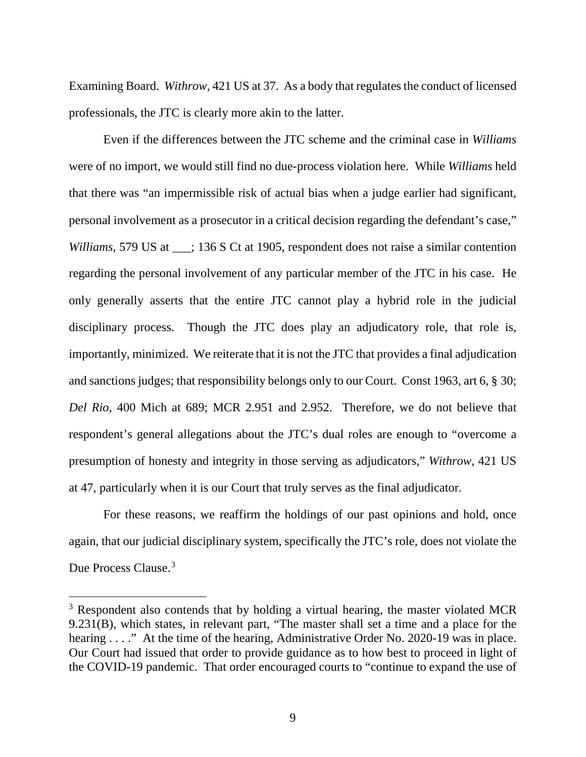Examining Board. *Withrow*, 421 US at 37. As a body that regulates the conduct of licensed professionals, the JTC is clearly more akin to the latter.

Even if the differences between the JTC scheme and the criminal case in *Williams*  were of no import, we would still find no due-process violation here. While *Williams* held that there was "an impermissible risk of actual bias when a judge earlier had significant, personal involvement as a prosecutor in a critical decision regarding the defendant's case," *Williams*, 579 US at \_\_\_; 136 S Ct at 1905, respondent does not raise a similar contention regarding the personal involvement of any particular member of the JTC in his case. He only generally asserts that the entire JTC cannot play a hybrid role in the judicial disciplinary process. Though the JTC does play an adjudicatory role, that role is, importantly, minimized. We reiterate that it is not the JTC that provides a final adjudication and sanctions judges; that responsibility belongs only to our Court. Const 1963, art 6, § 30; *Del Rio*, 400 Mich at 689; MCR 2.951 and 2.952. Therefore, we do not believe that respondent's general allegations about the JTC's dual roles are enough to "overcome a presumption of honesty and integrity in those serving as adjudicators," *Withrow*, 421 US at 47, particularly when it is our Court that truly serves as the final adjudicator.

For these reasons, we reaffirm the holdings of our past opinions and hold, once again, that our judicial disciplinary system, specifically the JTC's role, does not violate the Due Process Clause.<sup>[3](#page-12-0)</sup>

<span id="page-12-0"></span><sup>&</sup>lt;sup>3</sup> Respondent also contends that by holding a virtual hearing, the master violated MCR 9.231(B), which states, in relevant part, "The master shall set a time and a place for the hearing . . . ." At the time of the hearing, Administrative Order No. 2020-19 was in place. Our Court had issued that order to provide guidance as to how best to proceed in light of the COVID-19 pandemic. That order encouraged courts to "continue to expand the use of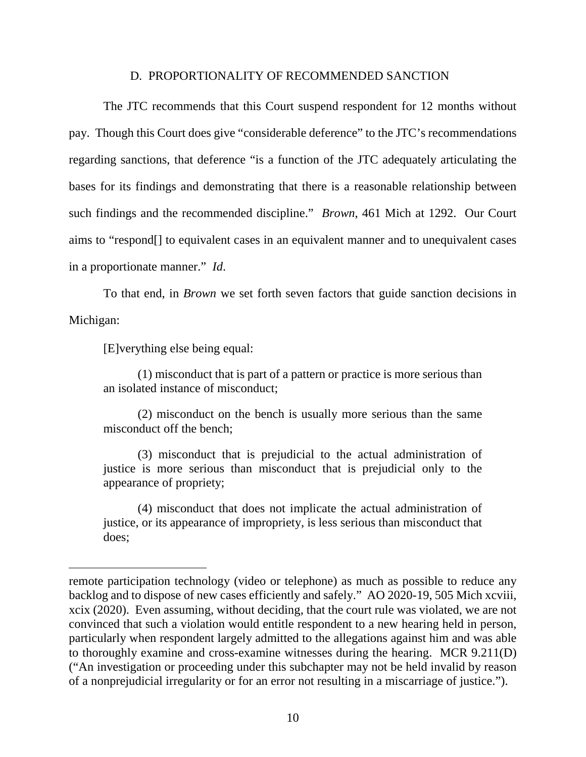#### D. PROPORTIONALITY OF RECOMMENDED SANCTION

The JTC recommends that this Court suspend respondent for 12 months without pay. Though this Court does give "considerable deference" to the JTC's recommendations regarding sanctions, that deference "is a function of the JTC adequately articulating the bases for its findings and demonstrating that there is a reasonable relationship between such findings and the recommended discipline." *Brown*, 461 Mich at 1292. Our Court aims to "respond[] to equivalent cases in an equivalent manner and to unequivalent cases in a proportionate manner." *Id*.

To that end, in *Brown* we set forth seven factors that guide sanction decisions in Michigan:

[E]verything else being equal:

 $\overline{a}$ 

(1) misconduct that is part of a pattern or practice is more serious than an isolated instance of misconduct;

(2) misconduct on the bench is usually more serious than the same misconduct off the bench;

(3) misconduct that is prejudicial to the actual administration of justice is more serious than misconduct that is prejudicial only to the appearance of propriety;

(4) misconduct that does not implicate the actual administration of justice, or its appearance of impropriety, is less serious than misconduct that does;

remote participation technology (video or telephone) as much as possible to reduce any backlog and to dispose of new cases efficiently and safely." AO 2020-19, 505 Mich xcviii, xcix (2020). Even assuming, without deciding, that the court rule was violated, we are not convinced that such a violation would entitle respondent to a new hearing held in person, particularly when respondent largely admitted to the allegations against him and was able to thoroughly examine and cross-examine witnesses during the hearing. MCR 9.211(D) ("An investigation or proceeding under this subchapter may not be held invalid by reason of a nonprejudicial irregularity or for an error not resulting in a miscarriage of justice.").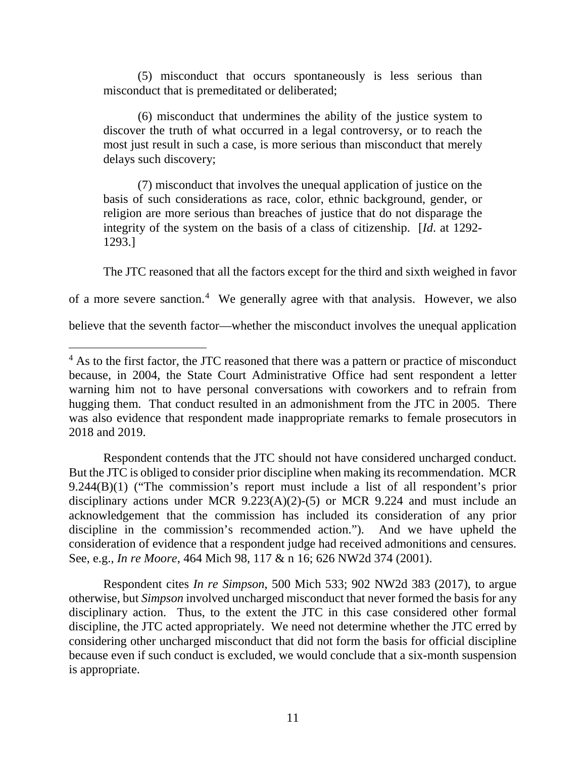(5) misconduct that occurs spontaneously is less serious than misconduct that is premeditated or deliberated;

(6) misconduct that undermines the ability of the justice system to discover the truth of what occurred in a legal controversy, or to reach the most just result in such a case, is more serious than misconduct that merely delays such discovery;

(7) misconduct that involves the unequal application of justice on the basis of such considerations as race, color, ethnic background, gender, or religion are more serious than breaches of justice that do not disparage the integrity of the system on the basis of a class of citizenship. [*Id*. at 1292- 1293.]

The JTC reasoned that all the factors except for the third and sixth weighed in favor

of a more severe sanction.<sup>[4](#page-14-0)</sup> We generally agree with that analysis. However, we also

believe that the seventh factor—whether the misconduct involves the unequal application

Respondent contends that the JTC should not have considered uncharged conduct. But the JTC is obliged to consider prior discipline when making its recommendation. MCR 9.244(B)(1) ("The commission's report must include a list of all respondent's prior disciplinary actions under MCR 9.223(A)(2)-(5) or MCR 9.224 and must include an acknowledgement that the commission has included its consideration of any prior discipline in the commission's recommended action."). And we have upheld the consideration of evidence that a respondent judge had received admonitions and censures. See, e.g., *In re Moore*, 464 Mich 98, 117 & n 16; 626 NW2d 374 (2001).

Respondent cites *In re Simpson*, 500 Mich 533; 902 NW2d 383 (2017), to argue otherwise, but *Simpson* involved uncharged misconduct that never formed the basis for any disciplinary action. Thus, to the extent the JTC in this case considered other formal discipline, the JTC acted appropriately. We need not determine whether the JTC erred by considering other uncharged misconduct that did not form the basis for official discipline because even if such conduct is excluded, we would conclude that a six-month suspension is appropriate.

<span id="page-14-0"></span><sup>&</sup>lt;sup>4</sup> As to the first factor, the JTC reasoned that there was a pattern or practice of misconduct because, in 2004, the State Court Administrative Office had sent respondent a letter warning him not to have personal conversations with coworkers and to refrain from hugging them. That conduct resulted in an admonishment from the JTC in 2005. There was also evidence that respondent made inappropriate remarks to female prosecutors in 2018 and 2019.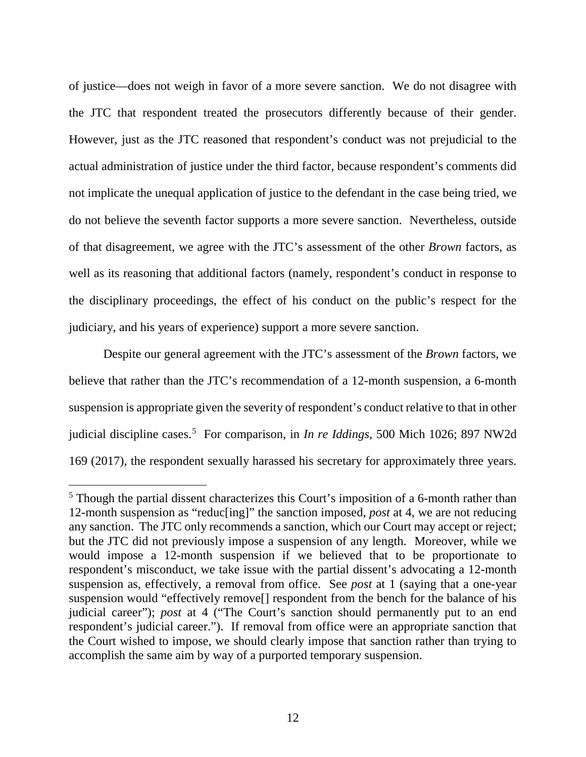of justice—does not weigh in favor of a more severe sanction. We do not disagree with the JTC that respondent treated the prosecutors differently because of their gender. However, just as the JTC reasoned that respondent's conduct was not prejudicial to the actual administration of justice under the third factor, because respondent's comments did not implicate the unequal application of justice to the defendant in the case being tried, we do not believe the seventh factor supports a more severe sanction. Nevertheless, outside of that disagreement, we agree with the JTC's assessment of the other *Brown* factors, as well as its reasoning that additional factors (namely, respondent's conduct in response to the disciplinary proceedings, the effect of his conduct on the public's respect for the judiciary, and his years of experience) support a more severe sanction.

Despite our general agreement with the JTC's assessment of the *Brown* factors, we believe that rather than the JTC's recommendation of a 12-month suspension, a 6-month suspension is appropriate given the severity of respondent's conduct relative to that in other judicial discipline cases.<sup>[5](#page-15-0)</sup> For comparison, in *In re Iddings*, 500 Mich 1026; 897 NW2d 169 (2017), the respondent sexually harassed his secretary for approximately three years.

<span id="page-15-0"></span> <sup>5</sup> Though the partial dissent characterizes this Court's imposition of a 6-month rather than 12-month suspension as "reduc[ing]" the sanction imposed, *post* at 4, we are not reducing any sanction. The JTC only recommends a sanction, which our Court may accept or reject; but the JTC did not previously impose a suspension of any length. Moreover, while we would impose a 12-month suspension if we believed that to be proportionate to respondent's misconduct, we take issue with the partial dissent's advocating a 12-month suspension as, effectively, a removal from office. See *post* at 1 (saying that a one-year suspension would "effectively remove[] respondent from the bench for the balance of his judicial career"); *post* at 4 ("The Court's sanction should permanently put to an end respondent's judicial career."). If removal from office were an appropriate sanction that the Court wished to impose, we should clearly impose that sanction rather than trying to accomplish the same aim by way of a purported temporary suspension.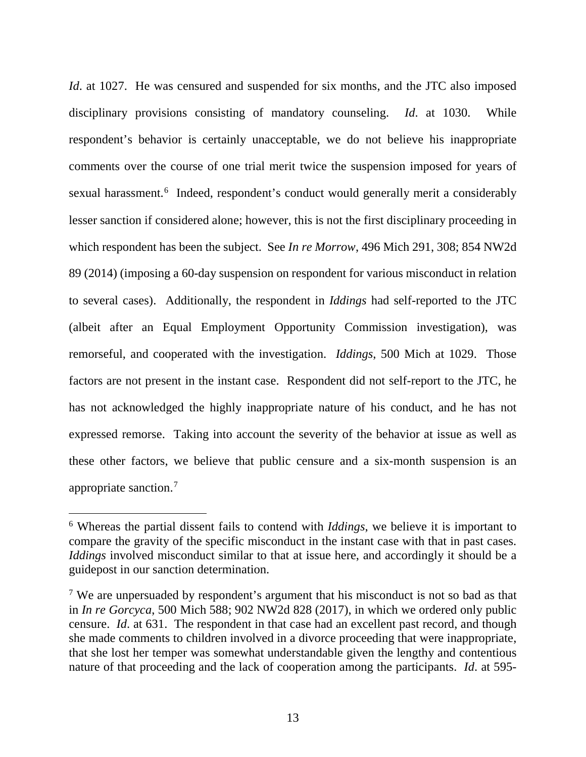*Id.* at 1027. He was censured and suspended for six months, and the JTC also imposed disciplinary provisions consisting of mandatory counseling. *Id*. at 1030. While respondent's behavior is certainly unacceptable, we do not believe his inappropriate comments over the course of one trial merit twice the suspension imposed for years of sexual harassment.<sup>[6](#page-16-0)</sup> Indeed, respondent's conduct would generally merit a considerably lesser sanction if considered alone; however, this is not the first disciplinary proceeding in which respondent has been the subject. See *In re Morrow*, 496 Mich 291, 308; 854 NW2d 89 (2014) (imposing a 60-day suspension on respondent for various misconduct in relation to several cases). Additionally, the respondent in *Iddings* had self-reported to the JTC (albeit after an Equal Employment Opportunity Commission investigation), was remorseful, and cooperated with the investigation. *Iddings*, 500 Mich at 1029. Those factors are not present in the instant case. Respondent did not self-report to the JTC, he has not acknowledged the highly inappropriate nature of his conduct, and he has not expressed remorse. Taking into account the severity of the behavior at issue as well as these other factors, we believe that public censure and a six-month suspension is an appropriate sanction.<sup>[7](#page-16-1)</sup>

<span id="page-16-0"></span> <sup>6</sup> Whereas the partial dissent fails to contend with *Iddings*, we believe it is important to compare the gravity of the specific misconduct in the instant case with that in past cases. *Iddings* involved misconduct similar to that at issue here, and accordingly it should be a guidepost in our sanction determination.

<span id="page-16-1"></span><sup>&</sup>lt;sup>7</sup> We are unpersuaded by respondent's argument that his misconduct is not so bad as that in *In re Gorcyca*, 500 Mich 588; 902 NW2d 828 (2017), in which we ordered only public censure. *Id*. at 631. The respondent in that case had an excellent past record, and though she made comments to children involved in a divorce proceeding that were inappropriate, that she lost her temper was somewhat understandable given the lengthy and contentious nature of that proceeding and the lack of cooperation among the participants. *Id*. at 595-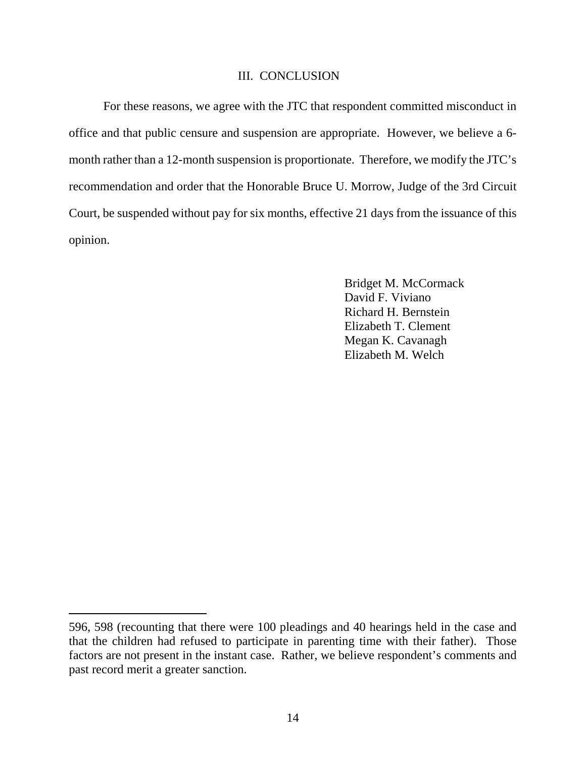#### III. CONCLUSION

For these reasons, we agree with the JTC that respondent committed misconduct in office and that public censure and suspension are appropriate. However, we believe a 6 month rather than a 12-month suspension is proportionate. Therefore, we modify the JTC's recommendation and order that the Honorable Bruce U. Morrow, Judge of the 3rd Circuit Court, be suspended without pay for six months, effective 21 days from the issuance of this opinion.

> Bridget M. McCormack David F. Viviano Richard H. Bernstein Elizabeth T. Clement Megan K. Cavanagh Elizabeth M. Welch

 $\overline{a}$ 

<sup>596, 598</sup> (recounting that there were 100 pleadings and 40 hearings held in the case and that the children had refused to participate in parenting time with their father). Those factors are not present in the instant case. Rather, we believe respondent's comments and past record merit a greater sanction.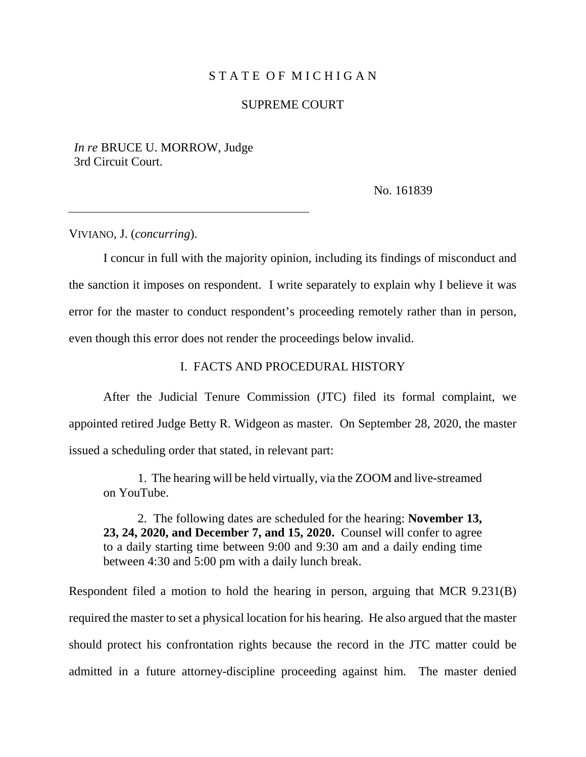# STATE OF MICHIGAN

#### SUPREME COURT

*In re* BRUCE U. MORROW, Judge 3rd Circuit Court.

No. 161839

VIVIANO, J. (*concurring*).

I concur in full with the majority opinion, including its findings of misconduct and the sanction it imposes on respondent. I write separately to explain why I believe it was error for the master to conduct respondent's proceeding remotely rather than in person, even though this error does not render the proceedings below invalid.

#### I. FACTS AND PROCEDURAL HISTORY

After the Judicial Tenure Commission (JTC) filed its formal complaint, we appointed retired Judge Betty R. Widgeon as master. On September 28, 2020, the master issued a scheduling order that stated, in relevant part:

1. The hearing will be held virtually, via the ZOOM and live-streamed on YouTube.

2. The following dates are scheduled for the hearing: **November 13, 23, 24, 2020, and December 7, and 15, 2020.** Counsel will confer to agree to a daily starting time between 9:00 and 9:30 am and a daily ending time between 4:30 and 5:00 pm with a daily lunch break.

Respondent filed a motion to hold the hearing in person, arguing that MCR 9.231(B) required the master to set a physical location for his hearing. He also argued that the master should protect his confrontation rights because the record in the JTC matter could be admitted in a future attorney-discipline proceeding against him. The master denied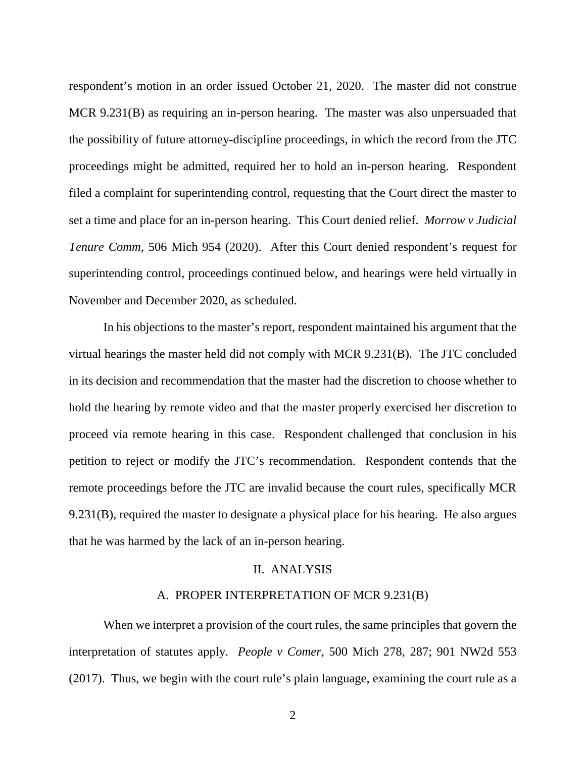respondent's motion in an order issued October 21, 2020. The master did not construe MCR 9.231(B) as requiring an in-person hearing. The master was also unpersuaded that the possibility of future attorney-discipline proceedings, in which the record from the JTC proceedings might be admitted, required her to hold an in-person hearing. Respondent filed a complaint for superintending control, requesting that the Court direct the master to set a time and place for an in-person hearing. This Court denied relief. *Morrow v Judicial Tenure Comm*, 506 Mich 954 (2020). After this Court denied respondent's request for superintending control, proceedings continued below, and hearings were held virtually in November and December 2020, as scheduled.

In his objections to the master's report, respondent maintained his argument that the virtual hearings the master held did not comply with MCR 9.231(B). The JTC concluded in its decision and recommendation that the master had the discretion to choose whether to hold the hearing by remote video and that the master properly exercised her discretion to proceed via remote hearing in this case. Respondent challenged that conclusion in his petition to reject or modify the JTC's recommendation. Respondent contends that the remote proceedings before the JTC are invalid because the court rules, specifically MCR 9.231(B), required the master to designate a physical place for his hearing. He also argues that he was harmed by the lack of an in-person hearing.

#### II. ANALYSIS

# A. PROPER INTERPRETATION OF MCR 9.231(B)

When we interpret a provision of the court rules, the same principles that govern the interpretation of statutes apply. *People v Comer*, 500 Mich 278, 287; 901 NW2d 553 (2017). Thus, we begin with the court rule's plain language, examining the court rule as a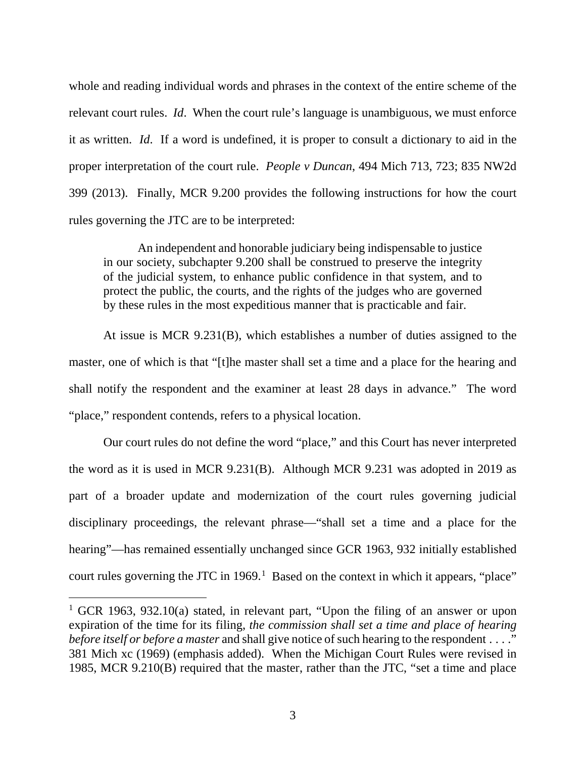whole and reading individual words and phrases in the context of the entire scheme of the relevant court rules. *Id*. When the court rule's language is unambiguous, we must enforce it as written. *Id*. If a word is undefined, it is proper to consult a dictionary to aid in the proper interpretation of the court rule. *People v Duncan*, 494 Mich 713, 723; 835 NW2d 399 (2013). Finally, MCR 9.200 provides the following instructions for how the court rules governing the JTC are to be interpreted:

An independent and honorable judiciary being indispensable to justice in our society, subchapter 9.200 shall be construed to preserve the integrity of the judicial system, to enhance public confidence in that system, and to protect the public, the courts, and the rights of the judges who are governed by these rules in the most expeditious manner that is practicable and fair.

At issue is MCR 9.231(B), which establishes a number of duties assigned to the master, one of which is that "[t]he master shall set a time and a place for the hearing and shall notify the respondent and the examiner at least 28 days in advance." The word "place," respondent contends, refers to a physical location.

Our court rules do not define the word "place," and this Court has never interpreted the word as it is used in MCR 9.231(B). Although MCR 9.231 was adopted in 2019 as part of a broader update and modernization of the court rules governing judicial disciplinary proceedings, the relevant phrase—"shall set a time and a place for the hearing"—has remained essentially unchanged since GCR 1963, 932 initially established court rules governing the JTC in  $1969$  $1969$ .<sup>1</sup> Based on the context in which it appears, "place"

<span id="page-20-0"></span><sup>&</sup>lt;sup>1</sup> GCR 1963, 932.10(a) stated, in relevant part, "Upon the filing of an answer or upon expiration of the time for its filing, *the commission shall set a time and place of hearing before itself or before a master* and shall give notice of such hearing to the respondent . . . ." 381 Mich xc (1969) (emphasis added). When the Michigan Court Rules were revised in 1985, MCR 9.210(B) required that the master, rather than the JTC, "set a time and place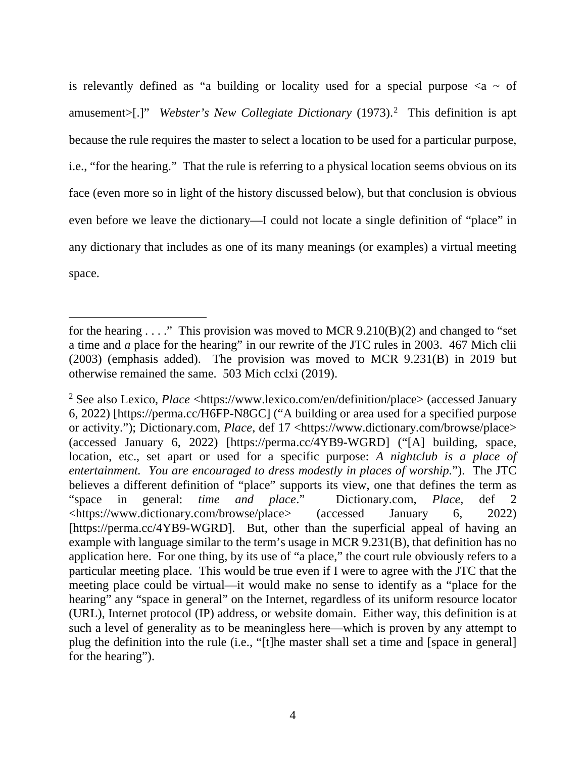is relevantly defined as "a building or locality used for a special purpose  $\langle a \rangle$  of amusement>[.]" *Webster's New Collegiate Dictionary* (1973). [2](#page-21-0) This definition is apt because the rule requires the master to select a location to be used for a particular purpose, i.e., "for the hearing." That the rule is referring to a physical location seems obvious on its face (even more so in light of the history discussed below), but that conclusion is obvious even before we leave the dictionary—I could not locate a single definition of "place" in any dictionary that includes as one of its many meanings (or examples) a virtual meeting space.

 $\overline{a}$ 

for the hearing  $\ldots$ ." This provision was moved to MCR 9.210(B)(2) and changed to "set a time and *a* place for the hearing" in our rewrite of the JTC rules in 2003. 467 Mich clii (2003) (emphasis added). The provision was moved to MCR 9.231(B) in 2019 but otherwise remained the same. 503 Mich cclxi (2019).

<span id="page-21-0"></span><sup>&</sup>lt;sup>2</sup> See also Lexico, *Place* <https://www.lexico.com/en/definition/place> (accessed January 6, 2022) [https://perma.cc/H6FP-N8GC] ("A building or area used for a specified purpose or activity."); Dictionary.com, *Place*, def 17 <https://www.dictionary.com/browse/place> (accessed January 6, 2022) [https://perma.cc/4YB9-WGRD] ("[A] building, space, location, etc., set apart or used for a specific purpose: *A nightclub is a place of entertainment. You are encouraged to dress modestly in places of worship.*"). The JTC believes a different definition of "place" supports its view, one that defines the term as "space in general: *time and place*." Dictionary.com, *Place*, def 2 <https://www.dictionary.com/browse/place> (accessed January 6, 2022) [https://perma.cc/4YB9-WGRD]. But, other than the superficial appeal of having an example with language similar to the term's usage in MCR 9.231(B), that definition has no application here. For one thing, by its use of "a place," the court rule obviously refers to a particular meeting place. This would be true even if I were to agree with the JTC that the meeting place could be virtual—it would make no sense to identify as a "place for the hearing" any "space in general" on the Internet, regardless of its uniform resource locator (URL), Internet protocol (IP) address, or website domain. Either way, this definition is at such a level of generality as to be meaningless here—which is proven by any attempt to plug the definition into the rule (i.e., "[t]he master shall set a time and [space in general] for the hearing").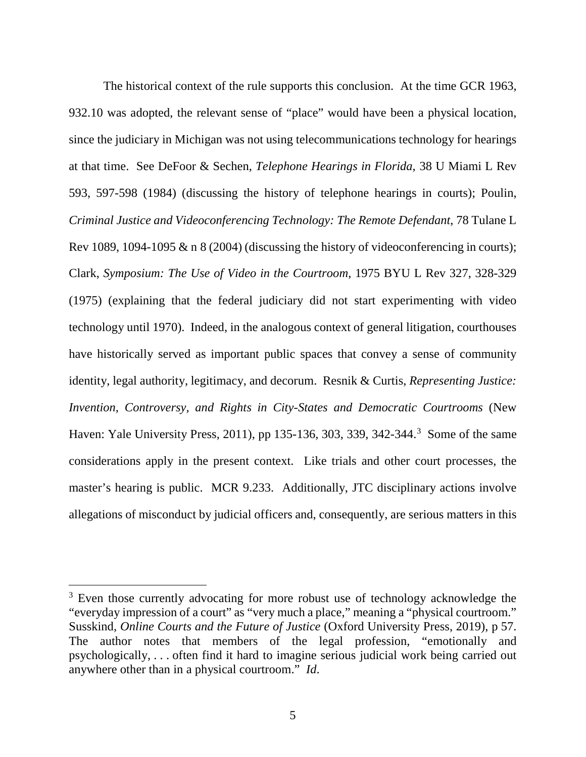The historical context of the rule supports this conclusion. At the time GCR 1963, 932.10 was adopted, the relevant sense of "place" would have been a physical location, since the judiciary in Michigan was not using telecommunications technology for hearings at that time. See DeFoor & Sechen, *Telephone Hearings in Florida*, 38 U Miami L Rev 593, 597-598 (1984) (discussing the history of telephone hearings in courts); Poulin, *Criminal Justice and Videoconferencing Technology: The Remote Defendant*, 78 Tulane L Rev 1089, 1094-1095  $\&$  n 8 (2004) (discussing the history of videoconferencing in courts); Clark, *Symposium: The Use of Video in the Courtroom*, 1975 BYU L Rev 327, 328-329 (1975) (explaining that the federal judiciary did not start experimenting with video technology until 1970). Indeed, in the analogous context of general litigation, courthouses have historically served as important public spaces that convey a sense of community identity, legal authority, legitimacy, and decorum. Resnik & Curtis, *Representing Justice: Invention, Controversy, and Rights in City-States and Democratic Courtrooms* (New Haven: Yale University Press, 2011), pp 1[3](#page-22-0)5-136, 303, 339, 342-344.<sup>3</sup> Some of the same considerations apply in the present context. Like trials and other court processes, the master's hearing is public. MCR 9.233. Additionally, JTC disciplinary actions involve allegations of misconduct by judicial officers and, consequently, are serious matters in this

<span id="page-22-0"></span><sup>&</sup>lt;sup>3</sup> Even those currently advocating for more robust use of technology acknowledge the "everyday impression of a court" as "very much a place," meaning a "physical courtroom." Susskind, *Online Courts and the Future of Justice* (Oxford University Press, 2019), p 57. The author notes that members of the legal profession, "emotionally and psychologically, . . . often find it hard to imagine serious judicial work being carried out anywhere other than in a physical courtroom." *Id*.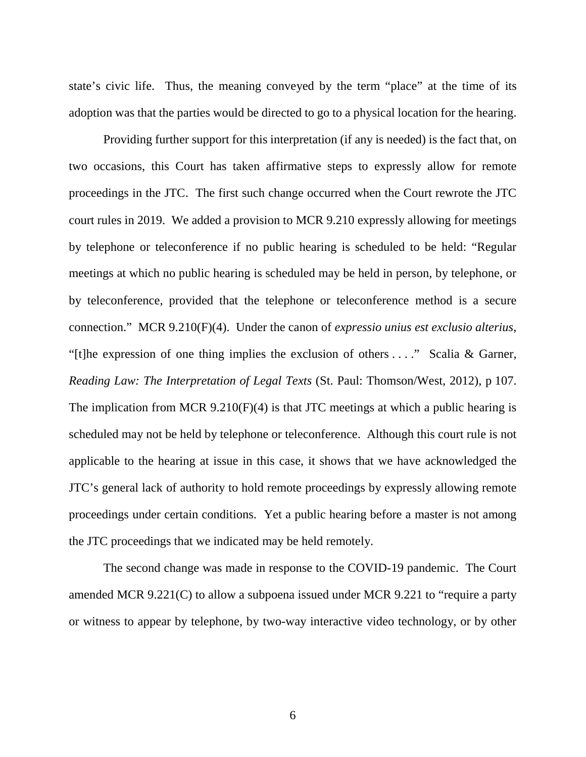state's civic life. Thus, the meaning conveyed by the term "place" at the time of its adoption was that the parties would be directed to go to a physical location for the hearing.

Providing further support for this interpretation (if any is needed) is the fact that, on two occasions, this Court has taken affirmative steps to expressly allow for remote proceedings in the JTC. The first such change occurred when the Court rewrote the JTC court rules in 2019. We added a provision to MCR 9.210 expressly allowing for meetings by telephone or teleconference if no public hearing is scheduled to be held: "Regular meetings at which no public hearing is scheduled may be held in person, by telephone, or by teleconference, provided that the telephone or teleconference method is a secure connection." MCR 9.210(F)(4). Under the canon of *expressio unius est exclusio alterius*, "[t]he expression of one thing implies the exclusion of others . . . ." Scalia & Garner, *Reading Law: The Interpretation of Legal Texts* (St. Paul: Thomson/West, 2012), p 107. The implication from MCR 9.210(F)(4) is that JTC meetings at which a public hearing is scheduled may not be held by telephone or teleconference. Although this court rule is not applicable to the hearing at issue in this case, it shows that we have acknowledged the JTC's general lack of authority to hold remote proceedings by expressly allowing remote proceedings under certain conditions. Yet a public hearing before a master is not among the JTC proceedings that we indicated may be held remotely.

The second change was made in response to the COVID-19 pandemic. The Court amended MCR 9.221(C) to allow a subpoena issued under MCR 9.221 to "require a party or witness to appear by telephone, by two-way interactive video technology, or by other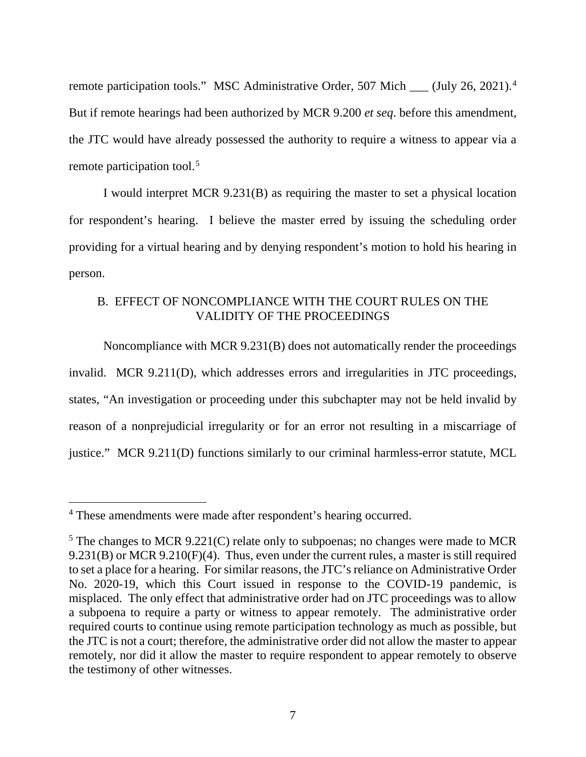remote participation tools." MSC Administrative Order, 507 Mich \_\_ (July 26, 2021).<sup>[4](#page-24-0)</sup> But if remote hearings had been authorized by MCR 9.200 *et seq*. before this amendment, the JTC would have already possessed the authority to require a witness to appear via a remote participation tool.<sup>[5](#page-24-1)</sup>

I would interpret MCR 9.231(B) as requiring the master to set a physical location for respondent's hearing. I believe the master erred by issuing the scheduling order providing for a virtual hearing and by denying respondent's motion to hold his hearing in person.

# B. EFFECT OF NONCOMPLIANCE WITH THE COURT RULES ON THE VALIDITY OF THE PROCEEDINGS

Noncompliance with MCR 9.231(B) does not automatically render the proceedings invalid. MCR 9.211(D), which addresses errors and irregularities in JTC proceedings, states, "An investigation or proceeding under this subchapter may not be held invalid by reason of a nonprejudicial irregularity or for an error not resulting in a miscarriage of justice." MCR 9.211(D) functions similarly to our criminal harmless-error statute, MCL

<span id="page-24-0"></span> <sup>4</sup> These amendments were made after respondent's hearing occurred.

<span id="page-24-1"></span><sup>&</sup>lt;sup>5</sup> The changes to MCR 9.221(C) relate only to subpoenas; no changes were made to MCR 9.231(B) or MCR 9.210(F)(4). Thus, even under the current rules, a master is still required to set a place for a hearing. For similar reasons, the JTC's reliance on Administrative Order No. 2020-19, which this Court issued in response to the COVID-19 pandemic, is misplaced. The only effect that administrative order had on JTC proceedings was to allow a subpoena to require a party or witness to appear remotely. The administrative order required courts to continue using remote participation technology as much as possible, but the JTC is not a court; therefore, the administrative order did not allow the master to appear remotely, nor did it allow the master to require respondent to appear remotely to observe the testimony of other witnesses.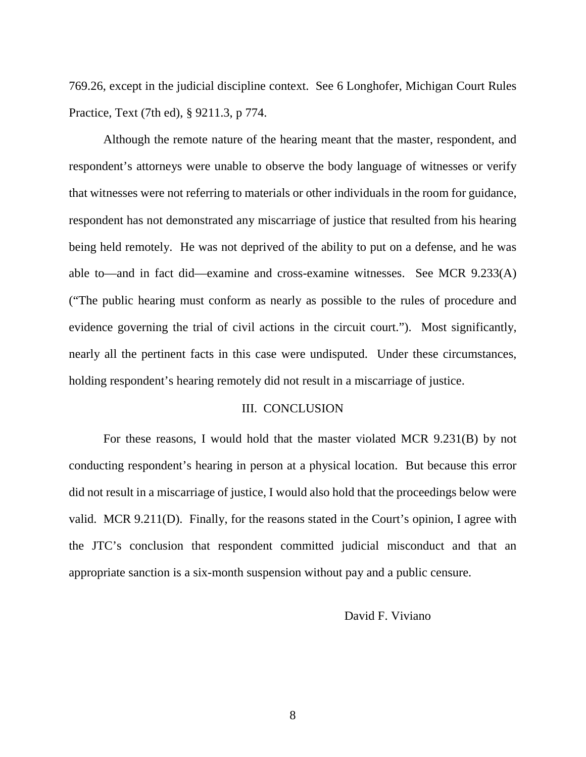769.26, except in the judicial discipline context. See 6 Longhofer, Michigan Court Rules Practice, Text (7th ed), § 9211.3, p 774.

Although the remote nature of the hearing meant that the master, respondent, and respondent's attorneys were unable to observe the body language of witnesses or verify that witnesses were not referring to materials or other individuals in the room for guidance, respondent has not demonstrated any miscarriage of justice that resulted from his hearing being held remotely. He was not deprived of the ability to put on a defense, and he was able to—and in fact did—examine and cross-examine witnesses. See MCR 9.233(A) ("The public hearing must conform as nearly as possible to the rules of procedure and evidence governing the trial of civil actions in the circuit court."). Most significantly, nearly all the pertinent facts in this case were undisputed. Under these circumstances, holding respondent's hearing remotely did not result in a miscarriage of justice.

#### III. CONCLUSION

For these reasons, I would hold that the master violated MCR 9.231(B) by not conducting respondent's hearing in person at a physical location. But because this error did not result in a miscarriage of justice, I would also hold that the proceedings below were valid. MCR 9.211(D). Finally, for the reasons stated in the Court's opinion, I agree with the JTC's conclusion that respondent committed judicial misconduct and that an appropriate sanction is a six-month suspension without pay and a public censure.

#### David F. Viviano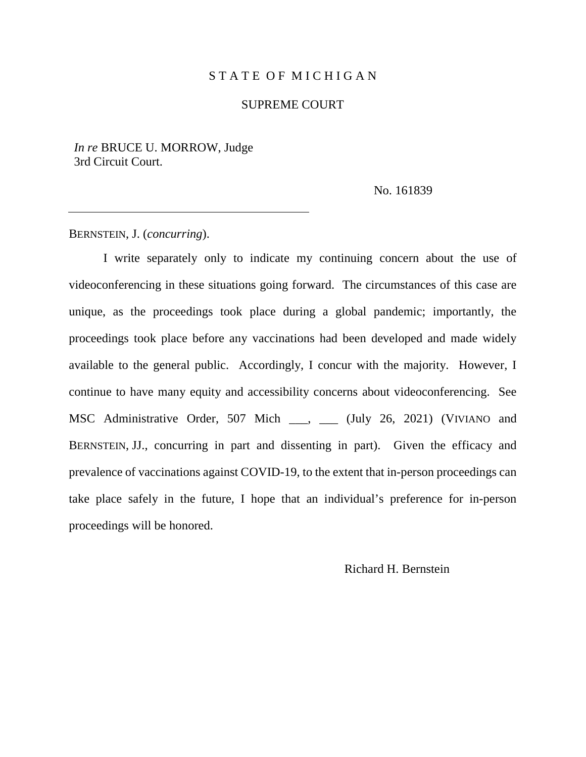# STATE OF MICHIGAN

#### SUPREME COURT

*In re* BRUCE U. MORROW, Judge 3rd Circuit Court.

No. 161839

BERNSTEIN, J. (*concurring*).

I write separately only to indicate my continuing concern about the use of videoconferencing in these situations going forward. The circumstances of this case are unique, as the proceedings took place during a global pandemic; importantly, the proceedings took place before any vaccinations had been developed and made widely available to the general public. Accordingly, I concur with the majority. However, I continue to have many equity and accessibility concerns about videoconferencing. See MSC Administrative Order, 507 Mich \_\_\_, \_\_\_ (July 26, 2021) (VIVIANO and BERNSTEIN, JJ., concurring in part and dissenting in part). Given the efficacy and prevalence of vaccinations against COVID-19, to the extent that in-person proceedings can take place safely in the future, I hope that an individual's preference for in-person proceedings will be honored.

Richard H. Bernstein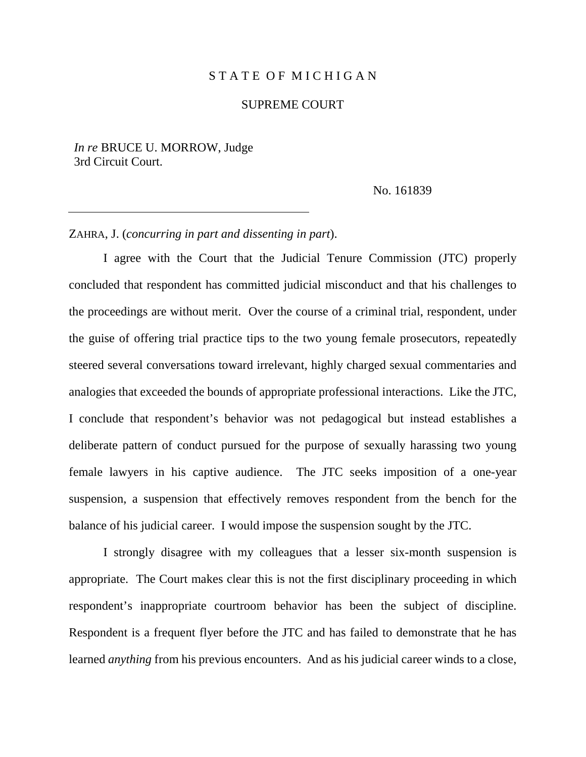#### STATE OF MICHIGAN

#### SUPREME COURT

*In re* BRUCE U. MORROW, Judge 3rd Circuit Court.

No. 161839

### ZAHRA, J. (*concurring in part and dissenting in part*).

I agree with the Court that the Judicial Tenure Commission (JTC) properly concluded that respondent has committed judicial misconduct and that his challenges to the proceedings are without merit. Over the course of a criminal trial, respondent, under the guise of offering trial practice tips to the two young female prosecutors, repeatedly steered several conversations toward irrelevant, highly charged sexual commentaries and analogies that exceeded the bounds of appropriate professional interactions. Like the JTC, I conclude that respondent's behavior was not pedagogical but instead establishes a deliberate pattern of conduct pursued for the purpose of sexually harassing two young female lawyers in his captive audience. The JTC seeks imposition of a one-year suspension, a suspension that effectively removes respondent from the bench for the balance of his judicial career. I would impose the suspension sought by the JTC.

I strongly disagree with my colleagues that a lesser six-month suspension is appropriate. The Court makes clear this is not the first disciplinary proceeding in which respondent's inappropriate courtroom behavior has been the subject of discipline. Respondent is a frequent flyer before the JTC and has failed to demonstrate that he has learned *anything* from his previous encounters. And as his judicial career winds to a close,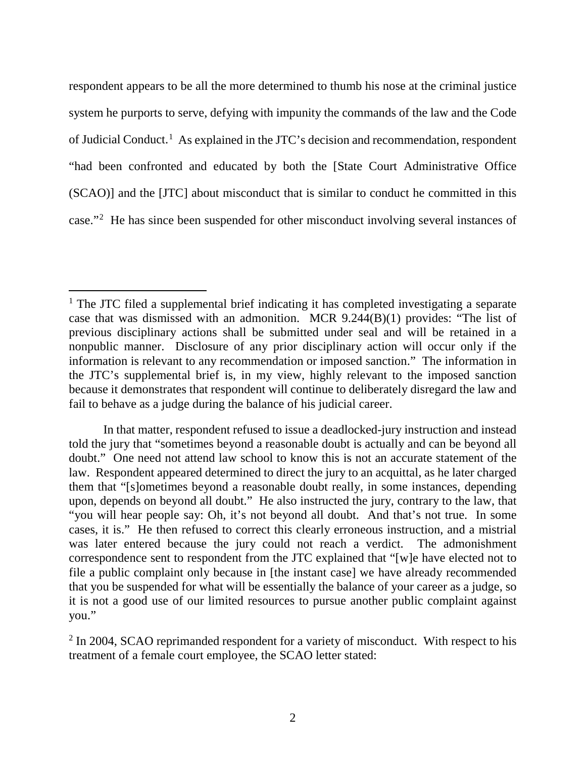respondent appears to be all the more determined to thumb his nose at the criminal justice system he purports to serve, defying with impunity the commands of the law and the Code of Judicial Conduct.<sup>[1](#page-28-0)</sup> As explained in the JTC's decision and recommendation, respondent "had been confronted and educated by both the [State Court Administrative Office (SCAO)] and the [JTC] about misconduct that is similar to conduct he committed in this case."[2](#page-28-1) He has since been suspended for other misconduct involving several instances of

<span id="page-28-0"></span><sup>&</sup>lt;sup>1</sup> The JTC filed a supplemental brief indicating it has completed investigating a separate case that was dismissed with an admonition. MCR 9.244(B)(1) provides: "The list of previous disciplinary actions shall be submitted under seal and will be retained in a nonpublic manner. Disclosure of any prior disciplinary action will occur only if the information is relevant to any recommendation or imposed sanction." The information in the JTC's supplemental brief is, in my view, highly relevant to the imposed sanction because it demonstrates that respondent will continue to deliberately disregard the law and fail to behave as a judge during the balance of his judicial career.

In that matter, respondent refused to issue a deadlocked-jury instruction and instead told the jury that "sometimes beyond a reasonable doubt is actually and can be beyond all doubt." One need not attend law school to know this is not an accurate statement of the law. Respondent appeared determined to direct the jury to an acquittal, as he later charged them that "[s]ometimes beyond a reasonable doubt really, in some instances, depending upon, depends on beyond all doubt." He also instructed the jury, contrary to the law, that "you will hear people say: Oh, it's not beyond all doubt. And that's not true. In some cases, it is." He then refused to correct this clearly erroneous instruction, and a mistrial was later entered because the jury could not reach a verdict. The admonishment correspondence sent to respondent from the JTC explained that "[w]e have elected not to file a public complaint only because in [the instant case] we have already recommended that you be suspended for what will be essentially the balance of your career as a judge, so it is not a good use of our limited resources to pursue another public complaint against you."

<span id="page-28-1"></span><sup>&</sup>lt;sup>2</sup> In 2004, SCAO reprimanded respondent for a variety of misconduct. With respect to his treatment of a female court employee, the SCAO letter stated: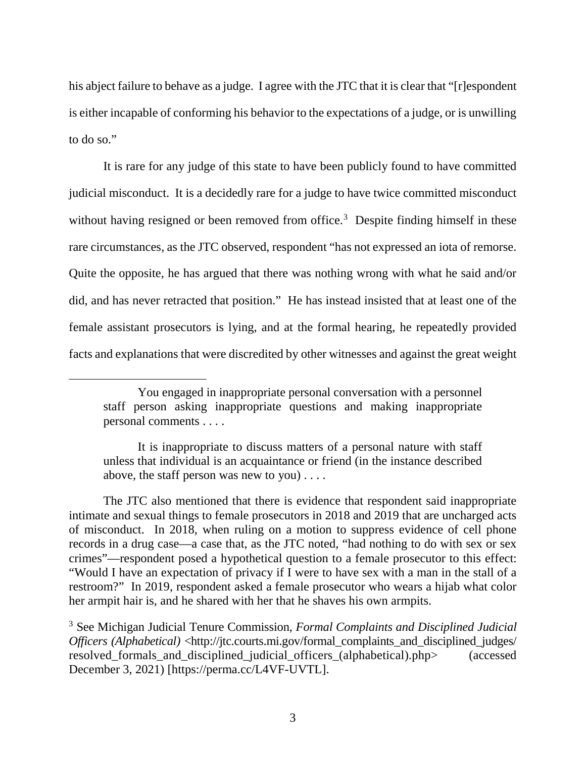his abject failure to behave as a judge. I agree with the JTC that it is clear that "[r]espondent is either incapable of conforming his behavior to the expectations of a judge, or is unwilling to do so."

It is rare for any judge of this state to have been publicly found to have committed judicial misconduct. It is a decidedly rare for a judge to have twice committed misconduct without having resigned or been removed from office.<sup>[3](#page-29-0)</sup> Despite finding himself in these rare circumstances, as the JTC observed, respondent "has not expressed an iota of remorse. Quite the opposite, he has argued that there was nothing wrong with what he said and/or did, and has never retracted that position." He has instead insisted that at least one of the female assistant prosecutors is lying, and at the formal hearing, he repeatedly provided facts and explanations that were discredited by other witnesses and against the great weight

 $\overline{a}$ 

The JTC also mentioned that there is evidence that respondent said inappropriate intimate and sexual things to female prosecutors in 2018 and 2019 that are uncharged acts of misconduct. In 2018, when ruling on a motion to suppress evidence of cell phone records in a drug case—a case that, as the JTC noted, "had nothing to do with sex or sex crimes"—respondent posed a hypothetical question to a female prosecutor to this effect: "Would I have an expectation of privacy if I were to have sex with a man in the stall of a restroom?" In 2019, respondent asked a female prosecutor who wears a hijab what color her armpit hair is, and he shared with her that he shaves his own armpits.

You engaged in inappropriate personal conversation with a personnel staff person asking inappropriate questions and making inappropriate personal comments . . . .

It is inappropriate to discuss matters of a personal nature with staff unless that individual is an acquaintance or friend (in the instance described above, the staff person was new to you) . . . .

<span id="page-29-0"></span><sup>3</sup> See Michigan Judicial Tenure Commission, *Formal Complaints and Disciplined Judicial Officers (Alphabetical)* <http://jtc.courts.mi.gov/formal\_complaints\_and\_disciplined\_judges/ resolved\_formals\_and\_disciplined\_judicial\_officers\_(alphabetical).php> (accessed December 3, 2021) [https://perma.cc/L4VF-UVTL].